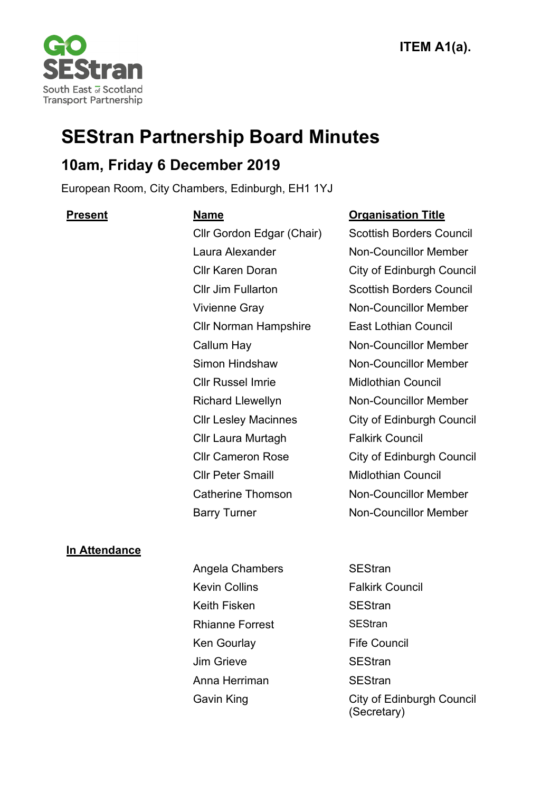

# **SEStran Partnership Board Minutes**

## **10am, Friday 6 December 2019**

European Room, City Chambers, Edinburgh, EH1 1YJ

Cllr Norman Hampshire East Lothian Council Cllr Russel Imrie Midlothian Council Cllr Laura Murtagh Falkirk Council Cllr Peter Smaill Midlothian Council

### **Present Name Organisation Title**

Cllr Gordon Edgar (Chair) Scottish Borders Council Laura Alexander Non-Councillor Member Cllr Karen Doran City of Edinburgh Council Cllr Jim Fullarton Scottish Borders Council Vivienne Gray Non-Councillor Member Callum Hay **Non-Councillor Member** Simon Hindshaw Non-Councillor Member Richard Llewellyn Non-Councillor Member Cllr Lesley Macinnes City of Edinburgh Council Cllr Cameron Rose City of Edinburgh Council Catherine Thomson Non-Councillor Member Barry Turner Non-Councillor Member

## **In Attendance**

Angela Chambers SEStran Kevin Collins **Falkirk Council** Keith Fisken SEStran Rhianne Forrest SEStran Ken Gourlay **Fife Council** Jim Grieve SEStran Anna Herriman SEStran

Gavin King **City of Edinburgh Council** (Secretary)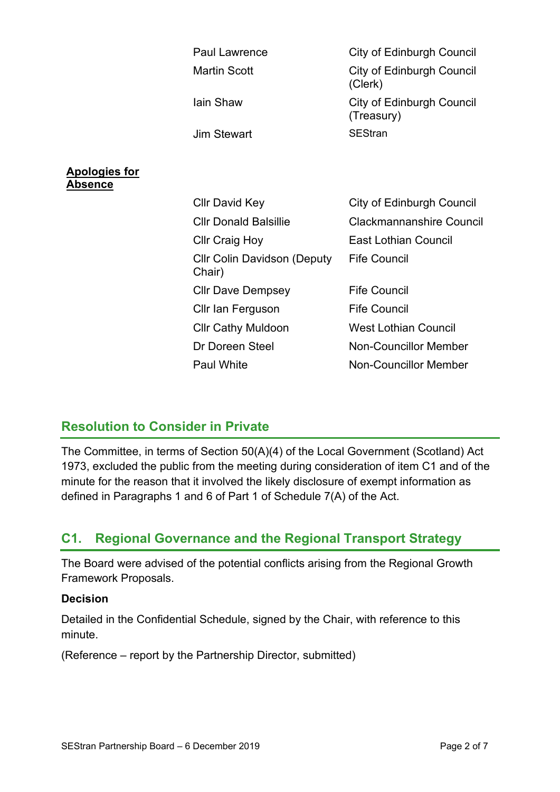|                                         | <b>Paul Lawrence</b>                         | <b>City of Edinburgh Council</b>            |
|-----------------------------------------|----------------------------------------------|---------------------------------------------|
|                                         | <b>Martin Scott</b>                          | <b>City of Edinburgh Council</b><br>(Clerk) |
|                                         | lain Shaw                                    | City of Edinburgh Council<br>(Treasury)     |
|                                         | <b>Jim Stewart</b>                           | <b>SEStran</b>                              |
|                                         |                                              |                                             |
| <u>Apologies for</u><br><u> Absence</u> |                                              |                                             |
|                                         | <b>CIIr David Key</b>                        | City of Edinburgh Council                   |
|                                         | <b>Cllr Donald Balsillie</b>                 | <b>Clackmannanshire Council</b>             |
|                                         | <b>Cllr Craig Hoy</b>                        | <b>East Lothian Council</b>                 |
|                                         | <b>CIIr Colin Davidson (Deputy</b><br>Chair) | <b>Fife Council</b>                         |
|                                         | <b>CIIr Dave Dempsey</b>                     | <b>Fife Council</b>                         |
|                                         | Cllr Ian Ferguson                            | <b>Fife Council</b>                         |
|                                         | <b>Cllr Cathy Muldoon</b>                    | <b>West Lothian Council</b>                 |
|                                         | Dr Doreen Steel                              | <b>Non-Councillor Member</b>                |
|                                         | <b>Paul White</b>                            | <b>Non-Councillor Member</b>                |

## **Resolution to Consider in Private**

The Committee, in terms of Section 50(A)(4) of the Local Government (Scotland) Act 1973, excluded the public from the meeting during consideration of item C1 and of the minute for the reason that it involved the likely disclosure of exempt information as defined in Paragraphs 1 and 6 of Part 1 of Schedule 7(A) of the Act.

## **C1. Regional Governance and the Regional Transport Strategy**

The Board were advised of the potential conflicts arising from the Regional Growth Framework Proposals.

#### **Decision**

Detailed in the Confidential Schedule, signed by the Chair, with reference to this minute.

(Reference – report by the Partnership Director, submitted)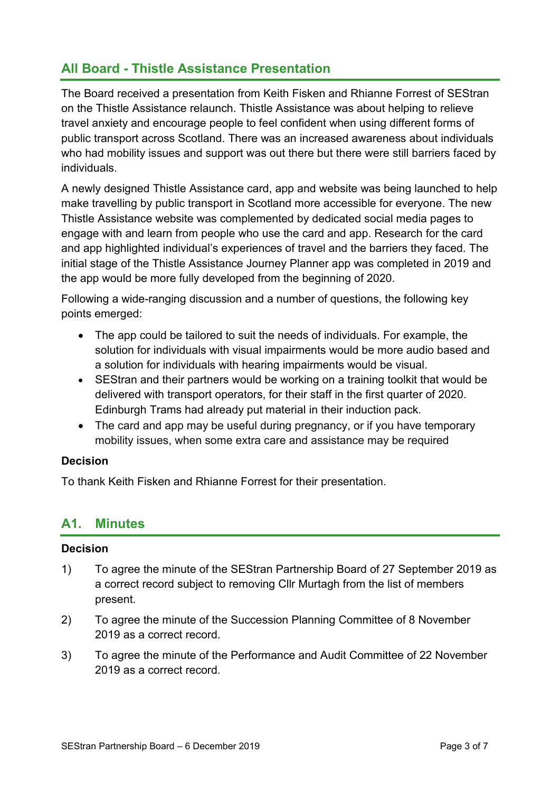## **All Board - Thistle Assistance Presentation**

The Board received a presentation from Keith Fisken and Rhianne Forrest of SEStran on the Thistle Assistance relaunch. Thistle Assistance was about helping to relieve travel anxiety and encourage people to feel confident when using different forms of public transport across Scotland. There was an increased awareness about individuals who had mobility issues and support was out there but there were still barriers faced by individuals.

A newly designed Thistle Assistance card, app and website was being launched to help make travelling by public transport in Scotland more accessible for everyone. The new Thistle Assistance website was complemented by dedicated social media pages to engage with and learn from people who use the card and app. Research for the card and app highlighted individual's experiences of travel and the barriers they faced. The initial stage of the Thistle Assistance Journey Planner app was completed in 2019 and the app would be more fully developed from the beginning of 2020.

Following a wide-ranging discussion and a number of questions, the following key points emerged:

- The app could be tailored to suit the needs of individuals. For example, the solution for individuals with visual impairments would be more audio based and a solution for individuals with hearing impairments would be visual.
- SEStran and their partners would be working on a training toolkit that would be delivered with transport operators, for their staff in the first quarter of 2020. Edinburgh Trams had already put material in their induction pack.
- The card and app may be useful during pregnancy, or if you have temporary mobility issues, when some extra care and assistance may be required

#### **Decision**

To thank Keith Fisken and Rhianne Forrest for their presentation.

## **A1. Minutes**

#### **Decision**

- 1) To agree the minute of the SEStran Partnership Board of 27 September 2019 as a correct record subject to removing Cllr Murtagh from the list of members present.
- 2) To agree the minute of the Succession Planning Committee of 8 November 2019 as a correct record.
- 3) To agree the minute of the Performance and Audit Committee of 22 November 2019 as a correct record.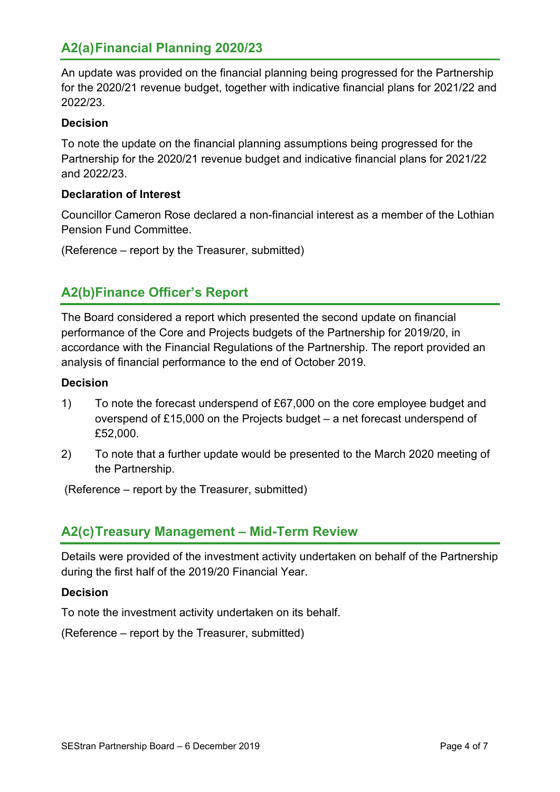## **A2(a)Financial Planning 2020/23**

An update was provided on the financial planning being progressed for the Partnership for the 2020/21 revenue budget, together with indicative financial plans for 2021/22 and 2022/23.

#### **Decision**

To note the update on the financial planning assumptions being progressed for the Partnership for the 2020/21 revenue budget and indicative financial plans for 2021/22 and 2022/23.

#### **Declaration of Interest**

Councillor Cameron Rose declared a non-financial interest as a member of the Lothian Pension Fund Committee.

(Reference – report by the Treasurer, submitted)

## **A2(b)Finance Officer's Report**

The Board considered a report which presented the second update on financial performance of the Core and Projects budgets of the Partnership for 2019/20, in accordance with the Financial Regulations of the Partnership. The report provided an analysis of financial performance to the end of October 2019.

#### **Decision**

- 1) To note the forecast underspend of £67,000 on the core employee budget and overspend of £15,000 on the Projects budget – a net forecast underspend of £52,000.
- 2) To note that a further update would be presented to the March 2020 meeting of the Partnership.

(Reference – report by the Treasurer, submitted)

## **A2(c)Treasury Management – Mid-Term Review**

Details were provided of the investment activity undertaken on behalf of the Partnership during the first half of the 2019/20 Financial Year.

#### **Decision**

To note the investment activity undertaken on its behalf.

(Reference – report by the Treasurer, submitted)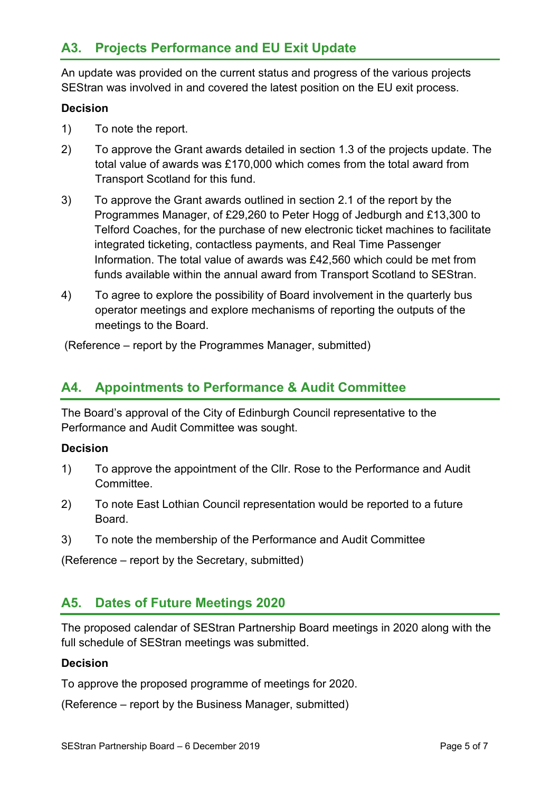## **A3. Projects Performance and EU Exit Update**

An update was provided on the current status and progress of the various projects SEStran was involved in and covered the latest position on the EU exit process.

#### **Decision**

- 1) To note the report.
- 2) To approve the Grant awards detailed in section 1.3 of the projects update. The total value of awards was £170,000 which comes from the total award from Transport Scotland for this fund.
- 3) To approve the Grant awards outlined in section 2.1 of the report by the Programmes Manager, of £29,260 to Peter Hogg of Jedburgh and £13,300 to Telford Coaches, for the purchase of new electronic ticket machines to facilitate integrated ticketing, contactless payments, and Real Time Passenger Information. The total value of awards was £42,560 which could be met from funds available within the annual award from Transport Scotland to SEStran.
- 4) To agree to explore the possibility of Board involvement in the quarterly bus operator meetings and explore mechanisms of reporting the outputs of the meetings to the Board.

(Reference – report by the Programmes Manager, submitted)

## **A4. Appointments to Performance & Audit Committee**

The Board's approval of the City of Edinburgh Council representative to the Performance and Audit Committee was sought.

#### **Decision**

- 1) To approve the appointment of the Cllr. Rose to the Performance and Audit Committee.
- 2) To note East Lothian Council representation would be reported to a future Board.
- 3) To note the membership of the Performance and Audit Committee

(Reference – report by the Secretary, submitted)

## **A5. Dates of Future Meetings 2020**

The proposed calendar of SEStran Partnership Board meetings in 2020 along with the full schedule of SEStran meetings was submitted.

#### **Decision**

To approve the proposed programme of meetings for 2020.

(Reference – report by the Business Manager, submitted)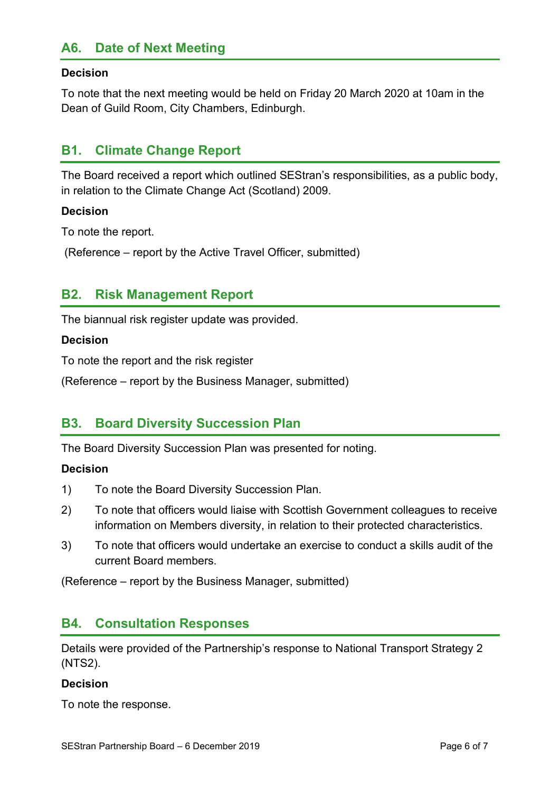## **A6. Date of Next Meeting**

### **Decision**

To note that the next meeting would be held on Friday 20 March 2020 at 10am in the Dean of Guild Room, City Chambers, Edinburgh.

## **B1. Climate Change Report**

The Board received a report which outlined SEStran's responsibilities, as a public body, in relation to the Climate Change Act (Scotland) 2009.

### **Decision**

To note the report.

(Reference – report by the Active Travel Officer, submitted)

## **B2. Risk Management Report**

The biannual risk register update was provided.

#### **Decision**

To note the report and the risk register

(Reference – report by the Business Manager, submitted)

## **B3. Board Diversity Succession Plan**

The Board Diversity Succession Plan was presented for noting.

#### **Decision**

- 1) To note the Board Diversity Succession Plan.
- 2) To note that officers would liaise with Scottish Government colleagues to receive information on Members diversity, in relation to their protected characteristics.
- 3) To note that officers would undertake an exercise to conduct a skills audit of the current Board members.

(Reference – report by the Business Manager, submitted)

## **B4. Consultation Responses**

Details were provided of the Partnership's response to National Transport Strategy 2 (NTS2).

#### **Decision**

To note the response.